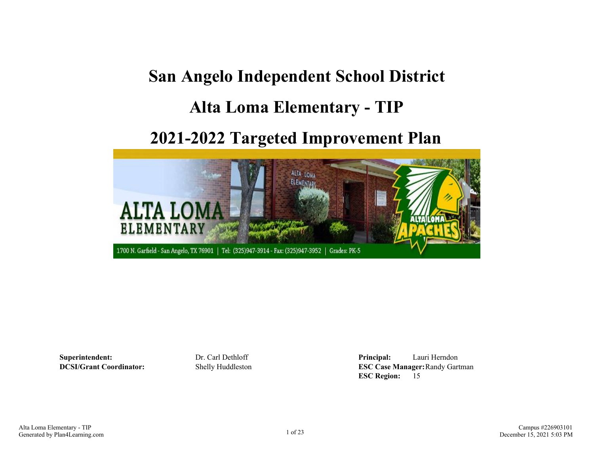## **San Angelo Independent School District**

## **Alta Loma Elementary - TIP**

## **2021-2022 Targeted Improvement Plan**



**Superintendent:** Dr. Carl Dethloff **Principal:** Lauri Herndon **DCSI/Grant Coordinator:** Shelly Huddleston **ESC Case Manager:**Randy Gartman **ESC Region:** 15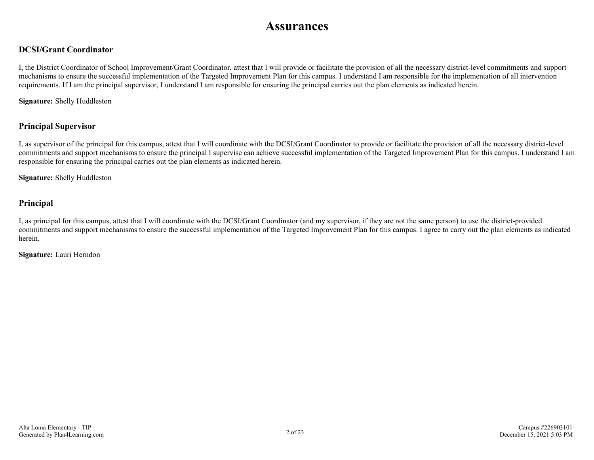### **Assurances**

#### **DCSI/Grant Coordinator**

I, the District Coordinator of School Improvement/Grant Coordinator, attest that I will provide or facilitate the provision of all the necessary district-level commitments and support mechanisms to ensure the successful implementation of the Targeted Improvement Plan for this campus. I understand I am responsible for the implementation of all intervention requirements. If I am the principal supervisor, I understand I am responsible for ensuring the principal carries out the plan elements as indicated herein.

**Signature:** Shelly Huddleston

#### **Principal Supervisor**

I, as supervisor of the principal for this campus, attest that I will coordinate with the DCSI/Grant Coordinator to provide or facilitate the provision of all the necessary district-level commitments and support mechanisms to ensure the principal I supervise can achieve successful implementation of the Targeted Improvement Plan for this campus. I understand I am responsible for ensuring the principal carries out the plan elements as indicated herein.

**Signature:** Shelly Huddleston

#### **Principal**

I, as principal for this campus, attest that I will coordinate with the DCSI/Grant Coordinator (and my supervisor, if they are not the same person) to use the district-provided commitments and support mechanisms to ensure the successful implementation of the Targeted Improvement Plan for this campus. I agree to carry out the plan elements as indicated herein.

**Signature:** Lauri Herndon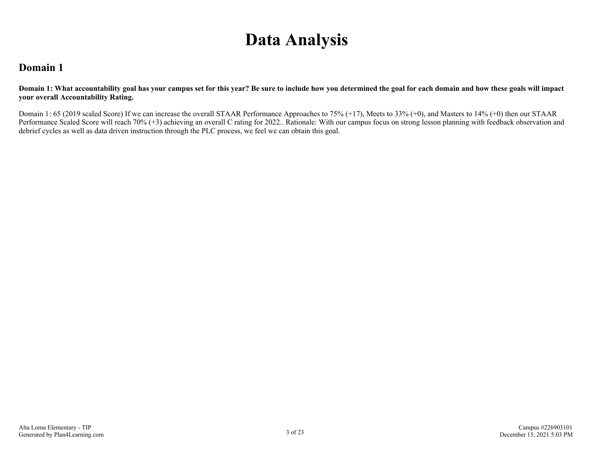# **Data Analysis**

### **Domain 1**

**Domain 1: What accountability goal has your campus set for this year? Be sure to include how you determined the goal for each domain and how these goals will impact your overall Accountability Rating.**

Domain 1: 65 (2019 scaled Score) If we can increase the overall STAAR Performance Approaches to 75% (+17), Meets to 33% (+0), and Masters to 14% (+0) then our STAAR Performance Scaled Score will reach 70% (+3) achieving an overall C rating for 2022.. Rationale: With our campus focus on strong lesson planning with feedback observation and debrief cycles as well as data driven instruction through the PLC process, we feel we can obtain this goal.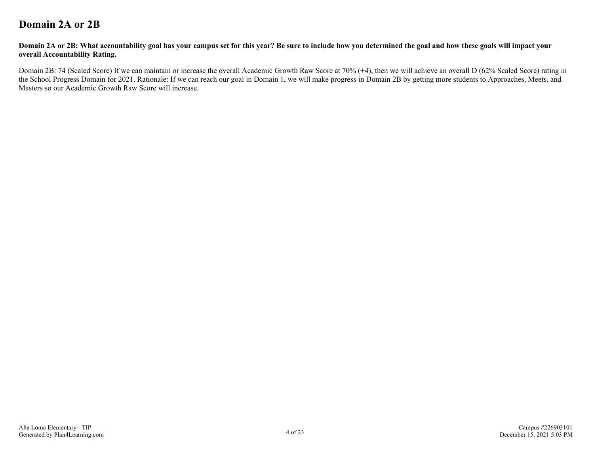### **Domain 2A or 2B**

#### **Domain 2A or 2B: What accountability goal has your campus set for this year? Be sure to include how you determined the goal and how these goals will impact your overall Accountability Rating.**

Domain 2B: 74 (Scaled Score) If we can maintain or increase the overall Academic Growth Raw Score at 70% (+4), then we will achieve an overall D (62% Scaled Score) rating in the School Progress Domain for 2021. Rationale: If we can reach our goal in Domain 1, we will make progress in Domain 2B by getting more students to Approaches, Meets, and Masters so our Academic Growth Raw Score will increase.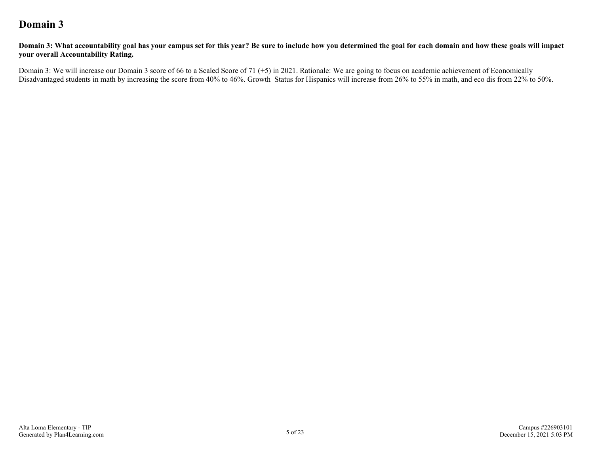### **Domain 3**

**Domain 3: What accountability goal has your campus set for this year? Be sure to include how you determined the goal for each domain and how these goals will impact your overall Accountability Rating.**

Domain 3: We will increase our Domain 3 score of 66 to a Scaled Score of 71 (+5) in 2021. Rationale: We are going to focus on academic achievement of Economically Disadvantaged students in math by increasing the score from 40% to 46%. Growth Status for Hispanics will increase from 26% to 55% in math, and eco dis from 22% to 50%.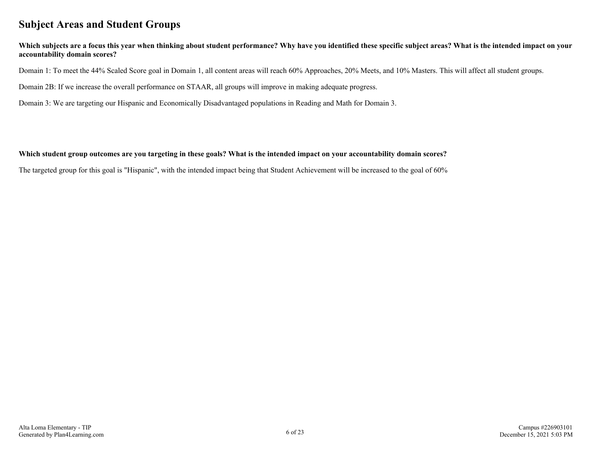### **Subject Areas and Student Groups**

#### **Which subjects are a focus this year when thinking about student performance? Why have you identified these specific subject areas? What is the intended impact on your accountability domain scores?**

Domain 1: To meet the 44% Scaled Score goal in Domain 1, all content areas will reach 60% Approaches, 20% Meets, and 10% Masters. This will affect all student groups.

Domain 2B: If we increase the overall performance on STAAR, all groups will improve in making adequate progress.

Domain 3: We are targeting our Hispanic and Economically Disadvantaged populations in Reading and Math for Domain 3.

#### **Which student group outcomes are you targeting in these goals? What is the intended impact on your accountability domain scores?**

The targeted group for this goal is "Hispanic", with the intended impact being that Student Achievement will be increased to the goal of 60%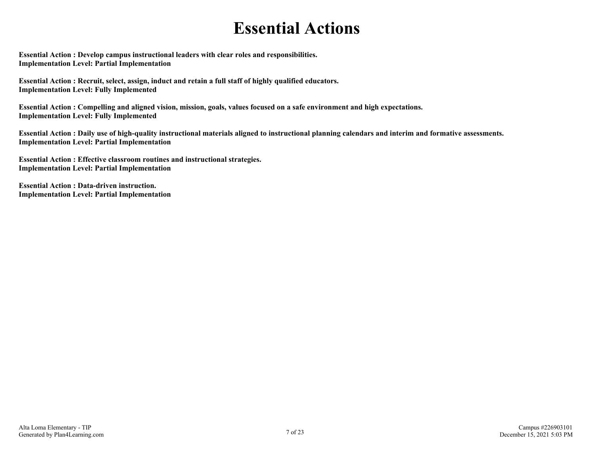## **Essential Actions**

**Essential Action : Develop campus instructional leaders with clear roles and responsibilities. Implementation Level: Partial Implementation** 

**Essential Action : Recruit, select, assign, induct and retain a full staff of highly qualified educators. Implementation Level: Fully Implemented** 

**Essential Action : Compelling and aligned vision, mission, goals, values focused on a safe environment and high expectations. Implementation Level: Fully Implemented** 

**Essential Action : Daily use of high-quality instructional materials aligned to instructional planning calendars and interim and formative assessments. Implementation Level: Partial Implementation** 

**Essential Action : Effective classroom routines and instructional strategies. Implementation Level: Partial Implementation** 

**Essential Action : Data-driven instruction. Implementation Level: Partial Implementation**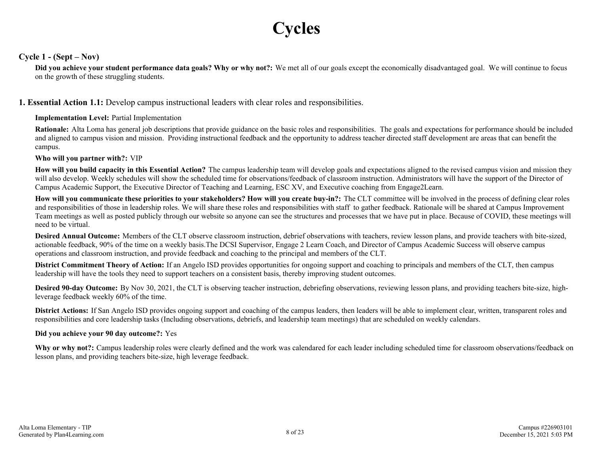# **Cycles**

#### **Cycle 1 - (Sept – Nov)**

**Did you achieve your student performance data goals? Why or why not?:** We met all of our goals except the economically disadvantaged goal. We will continue to focus on the growth of these struggling students.

#### **1. Essential Action 1.1:** Develop campus instructional leaders with clear roles and responsibilities.

#### **Implementation Level:** Partial Implementation

**Rationale:** Alta Loma has general job descriptions that provide guidance on the basic roles and responsibilities. The goals and expectations for performance should be included and aligned to campus vision and mission. Providing instructional feedback and the opportunity to address teacher directed staff development are areas that can benefit the campus.

#### **Who will you partner with?:** VIP

**How will you build capacity in this Essential Action?** The campus leadership team will develop goals and expectations aligned to the revised campus vision and mission they will also develop. Weekly schedules will show the scheduled time for observations/feedback of classroom instruction. Administrators will have the support of the Director of Campus Academic Support, the Executive Director of Teaching and Learning, ESC XV, and Executive coaching from Engage2Learn.

**How will you communicate these priorities to your stakeholders? How will you create buy-in?:** The CLT committee will be involved in the process of defining clear roles and responsibilities of those in leadership roles. We will share these roles and responsibilities with staff to gather feedback. Rationale will be shared at Campus Improvement Team meetings as well as posted publicly through our website so anyone can see the structures and processes that we have put in place. Because of COVID, these meetings will need to be virtual.

**Desired Annual Outcome:** Members of the CLT observe classroom instruction, debrief observations with teachers, review lesson plans, and provide teachers with bite-sized, actionable feedback, 90% of the time on a weekly basis.The DCSI Supervisor, Engage 2 Learn Coach, and Director of Campus Academic Success will observe campus operations and classroom instruction, and provide feedback and coaching to the principal and members of the CLT.

**District Commitment Theory of Action:** If an Angelo ISD provides opportunities for ongoing support and coaching to principals and members of the CLT, then campus leadership will have the tools they need to support teachers on a consistent basis, thereby improving student outcomes.

**Desired 90-day Outcome:** By Nov 30, 2021, the CLT is observing teacher instruction, debriefing observations, reviewing lesson plans, and providing teachers bite-size, highleverage feedback weekly 60% of the time.

**District Actions:** If San Angelo ISD provides ongoing support and coaching of the campus leaders, then leaders will be able to implement clear, written, transparent roles and responsibilities and core leadership tasks (Including observations, debriefs, and leadership team meetings) that are scheduled on weekly calendars.

#### **Did you achieve your 90 day outcome?:** Yes

**Why or why not?:** Campus leadership roles were clearly defined and the work was calendared for each leader including scheduled time for classroom observations/feedback on lesson plans, and providing teachers bite-size, high leverage feedback.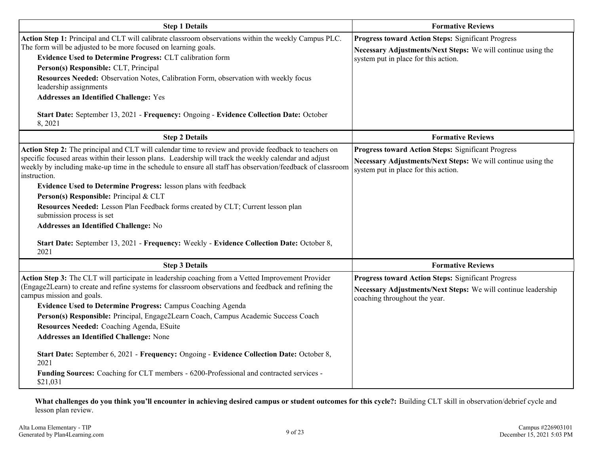| <b>Step 1 Details</b>                                                                                                                                                                                                                                                                                                                                                                                                                                                                                                                                                                                                                                                                                                     | <b>Formative Reviews</b>                                                                                                                                          |
|---------------------------------------------------------------------------------------------------------------------------------------------------------------------------------------------------------------------------------------------------------------------------------------------------------------------------------------------------------------------------------------------------------------------------------------------------------------------------------------------------------------------------------------------------------------------------------------------------------------------------------------------------------------------------------------------------------------------------|-------------------------------------------------------------------------------------------------------------------------------------------------------------------|
| Action Step 1: Principal and CLT will calibrate classroom observations within the weekly Campus PLC.<br>The form will be adjusted to be more focused on learning goals.<br>Evidence Used to Determine Progress: CLT calibration form<br>Person(s) Responsible: CLT, Principal<br>Resources Needed: Observation Notes, Calibration Form, observation with weekly focus<br>leadership assignments<br><b>Addresses an Identified Challenge: Yes</b><br>Start Date: September 13, 2021 - Frequency: Ongoing - Evidence Collection Date: October<br>8,2021                                                                                                                                                                     | <b>Progress toward Action Steps: Significant Progress</b><br>Necessary Adjustments/Next Steps: We will continue using the<br>system put in place for this action. |
| <b>Step 2 Details</b>                                                                                                                                                                                                                                                                                                                                                                                                                                                                                                                                                                                                                                                                                                     | <b>Formative Reviews</b>                                                                                                                                          |
| Action Step 2: The principal and CLT will calendar time to review and provide feedback to teachers on<br>specific focused areas within their lesson plans. Leadership will track the weekly calendar and adjust<br>weekly by including make-up time in the schedule to ensure all staff has observation/feedback of classroom<br>instruction.<br>Evidence Used to Determine Progress: lesson plans with feedback<br>Person(s) Responsible: Principal & CLT<br>Resources Needed: Lesson Plan Feedback forms created by CLT; Current lesson plan<br>submission process is set<br>Addresses an Identified Challenge: No<br>Start Date: September 13, 2021 - Frequency: Weekly - Evidence Collection Date: October 8,<br>2021 | <b>Progress toward Action Steps: Significant Progress</b><br>Necessary Adjustments/Next Steps: We will continue using the<br>system put in place for this action. |
| <b>Step 3 Details</b>                                                                                                                                                                                                                                                                                                                                                                                                                                                                                                                                                                                                                                                                                                     | <b>Formative Reviews</b>                                                                                                                                          |
| Action Step 3: The CLT will participate in leadership coaching from a Vetted Improvement Provider<br>(Engage2Learn) to create and refine systems for classroom observations and feedback and refining the<br>campus mission and goals.<br><b>Evidence Used to Determine Progress: Campus Coaching Agenda</b><br>Person(s) Responsible: Principal, Engage2Learn Coach, Campus Academic Success Coach<br>Resources Needed: Coaching Agenda, ESuite<br><b>Addresses an Identified Challenge: None</b><br>Start Date: September 6, 2021 - Frequency: Ongoing - Evidence Collection Date: October 8,<br>2021<br>Funding Sources: Coaching for CLT members - 6200-Professional and contracted services -<br>\$21,031            | Progress toward Action Steps: Significant Progress<br>Necessary Adjustments/Next Steps: We will continue leadership<br>coaching throughout the year.              |

**What challenges do you think you'll encounter in achieving desired campus or student outcomes for this cycle?:** Building CLT skill in observation/debrief cycle and lesson plan review.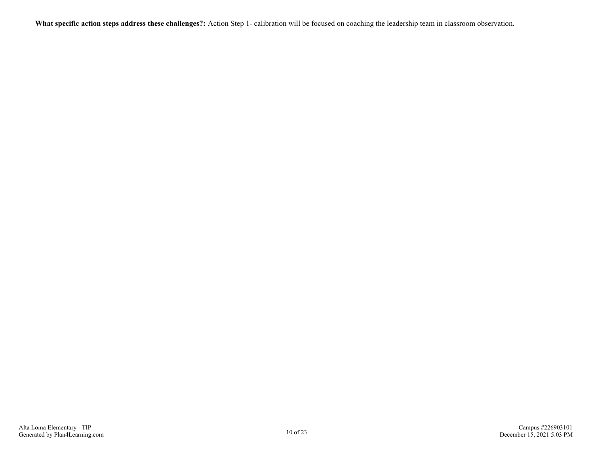**What specific action steps address these challenges?:** Action Step 1- calibration will be focused on coaching the leadership team in classroom observation.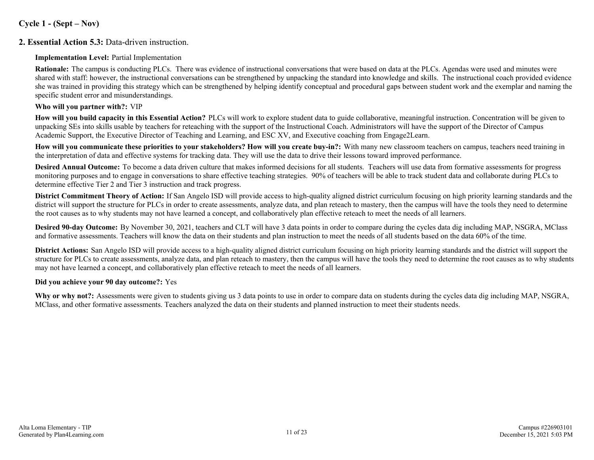#### **Cycle 1 - (Sept – Nov)**

#### **2. Essential Action 5.3:** Data-driven instruction.

#### **Implementation Level:** Partial Implementation

**Rationale:** The campus is conducting PLCs. There was evidence of instructional conversations that were based on data at the PLCs. Agendas were used and minutes were shared with staff: however, the instructional conversations can be strengthened by unpacking the standard into knowledge and skills. The instructional coach provided evidence she was trained in providing this strategy which can be strengthened by helping identify conceptual and procedural gaps between student work and the exemplar and naming the specific student error and misunderstandings.

#### **Who will you partner with?:** VIP

**How will you build capacity in this Essential Action?** PLCs will work to explore student data to guide collaborative, meaningful instruction. Concentration will be given to unpacking SEs into skills usable by teachers for reteaching with the support of the Instructional Coach. Administrators will have the support of the Director of Campus Academic Support, the Executive Director of Teaching and Learning, and ESC XV, and Executive coaching from Engage2Learn.

**How will you communicate these priorities to your stakeholders? How will you create buy-in?:** With many new classroom teachers on campus, teachers need training in the interpretation of data and effective systems for tracking data. They will use the data to drive their lessons toward improved performance.

**Desired Annual Outcome:** To become a data driven culture that makes informed decisions for all students. Teachers will use data from formative assessments for progress monitoring purposes and to engage in conversations to share effective teaching strategies. 90% of teachers will be able to track student data and collaborate during PLCs to determine effective Tier 2 and Tier 3 instruction and track progress.

**District Commitment Theory of Action:** If San Angelo ISD will provide access to high-quality aligned district curriculum focusing on high priority learning standards and the district will support the structure for PLCs in order to create assessments, analyze data, and plan reteach to mastery, then the campus will have the tools they need to determine the root causes as to why students may not have learned a concept, and collaboratively plan effective reteach to meet the needs of all learners.

**Desired 90-day Outcome:** By November 30, 2021, teachers and CLT will have 3 data points in order to compare during the cycles data dig including MAP, NSGRA, MClass and formative assessments. Teachers will know the data on their students and plan instruction to meet the needs of all students based on the data 60% of the time.

**District Actions:** San Angelo ISD will provide access to a high-quality aligned district curriculum focusing on high priority learning standards and the district will support the structure for PLCs to create assessments, analyze data, and plan reteach to mastery, then the campus will have the tools they need to determine the root causes as to why students may not have learned a concept, and collaboratively plan effective reteach to meet the needs of all learners.

#### **Did you achieve your 90 day outcome?:** Yes

**Why or why not?:** Assessments were given to students giving us 3 data points to use in order to compare data on students during the cycles data dig including MAP, NSGRA, MClass, and other formative assessments. Teachers analyzed the data on their students and planned instruction to meet their students needs.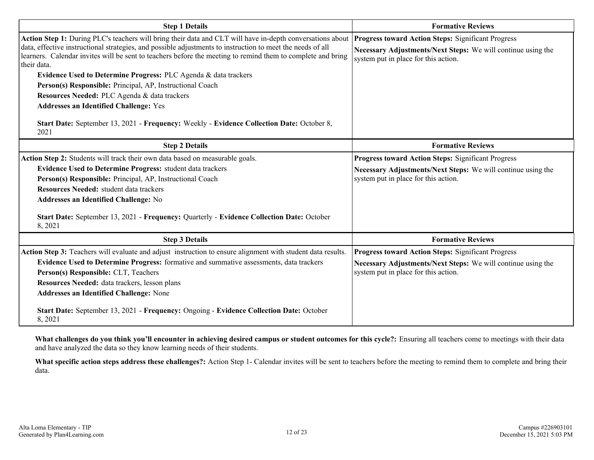| <b>Step 1 Details</b>                                                                                                                                                                                                                                                                                                                                                                                                                                                                                                                                                                                                                                                                       | <b>Formative Reviews</b>                                                                                                                                          |  |  |  |  |  |
|---------------------------------------------------------------------------------------------------------------------------------------------------------------------------------------------------------------------------------------------------------------------------------------------------------------------------------------------------------------------------------------------------------------------------------------------------------------------------------------------------------------------------------------------------------------------------------------------------------------------------------------------------------------------------------------------|-------------------------------------------------------------------------------------------------------------------------------------------------------------------|--|--|--|--|--|
| Action Step 1: During PLC's teachers will bring their data and CLT will have in-depth conversations about<br>data, effective instructional strategies, and possible adjustments to instruction to meet the needs of all<br>learners. Calendar invites will be sent to teachers before the meeting to remind them to complete and bring<br>their data.<br>Evidence Used to Determine Progress: PLC Agenda & data trackers<br>Person(s) Responsible: Principal, AP, Instructional Coach<br>Resources Needed: PLC Agenda & data trackers<br><b>Addresses an Identified Challenge: Yes</b><br>Start Date: September 13, 2021 - Frequency: Weekly - Evidence Collection Date: October 8,<br>2021 | <b>Progress toward Action Steps: Significant Progress</b><br>Necessary Adjustments/Next Steps: We will continue using the<br>system put in place for this action. |  |  |  |  |  |
| <b>Step 2 Details</b>                                                                                                                                                                                                                                                                                                                                                                                                                                                                                                                                                                                                                                                                       | <b>Formative Reviews</b>                                                                                                                                          |  |  |  |  |  |
| Action Step 2: Students will track their own data based on measurable goals.<br><b>Evidence Used to Determine Progress: student data trackers</b><br>Person(s) Responsible: Principal, AP, Instructional Coach<br>Resources Needed: student data trackers<br>Addresses an Identified Challenge: No<br>Start Date: September 13, 2021 - Frequency: Quarterly - Evidence Collection Date: October<br>8, 2021                                                                                                                                                                                                                                                                                  | <b>Progress toward Action Steps: Significant Progress</b><br>Necessary Adjustments/Next Steps: We will continue using the<br>system put in place for this action. |  |  |  |  |  |
| <b>Step 3 Details</b>                                                                                                                                                                                                                                                                                                                                                                                                                                                                                                                                                                                                                                                                       | <b>Formative Reviews</b>                                                                                                                                          |  |  |  |  |  |
| Action Step 3: Teachers will evaluate and adjust instruction to ensure alignment with student data results.<br>Evidence Used to Determine Progress: formative and summative assessments, data trackers<br>Person(s) Responsible: CLT, Teachers<br>Resources Needed: data trackers, lesson plans<br><b>Addresses an Identified Challenge: None</b><br>Start Date: September 13, 2021 - Frequency: Ongoing - Evidence Collection Date: October<br>8,2021                                                                                                                                                                                                                                      | <b>Progress toward Action Steps: Significant Progress</b><br>Necessary Adjustments/Next Steps: We will continue using the<br>system put in place for this action. |  |  |  |  |  |

**What challenges do you think you'll encounter in achieving desired campus or student outcomes for this cycle?:** Ensuring all teachers come to meetings with their data and have analyzed the data so they know learning needs of their students.

**What specific action steps address these challenges?:** Action Step 1- Calendar invites will be sent to teachers before the meeting to remind them to complete and bring their data.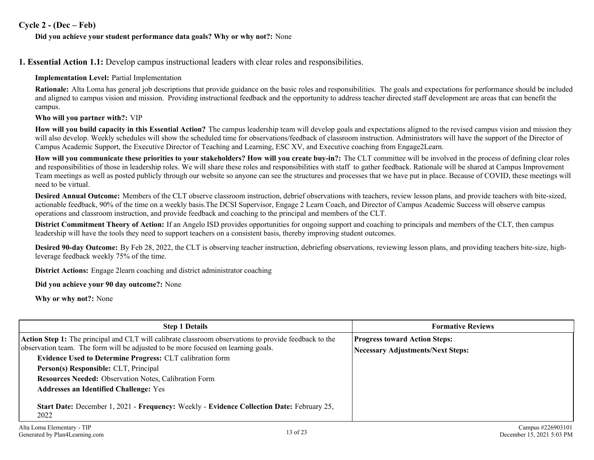#### **Cycle 2 - (Dec – Feb)**

#### **Did you achieve your student performance data goals? Why or why not?:** None

**1. Essential Action 1.1:** Develop campus instructional leaders with clear roles and responsibilities.

#### **Implementation Level:** Partial Implementation

**Rationale:** Alta Loma has general job descriptions that provide guidance on the basic roles and responsibilities. The goals and expectations for performance should be included and aligned to campus vision and mission. Providing instructional feedback and the opportunity to address teacher directed staff development are areas that can benefit the campus.

#### **Who will you partner with?:** VIP

**How will you build capacity in this Essential Action?** The campus leadership team will develop goals and expectations aligned to the revised campus vision and mission they will also develop. Weekly schedules will show the scheduled time for observations/feedback of classroom instruction. Administrators will have the support of the Director of Campus Academic Support, the Executive Director of Teaching and Learning, ESC XV, and Executive coaching from Engage2Learn.

**How will you communicate these priorities to your stakeholders? How will you create buy-in?:** The CLT committee will be involved in the process of defining clear roles and responsibilities of those in leadership roles. We will share these roles and responsibilities with staff to gather feedback. Rationale will be shared at Campus Improvement Team meetings as well as posted publicly through our website so anyone can see the structures and processes that we have put in place. Because of COVID, these meetings will need to be virtual.

**Desired Annual Outcome:** Members of the CLT observe classroom instruction, debrief observations with teachers, review lesson plans, and provide teachers with bite-sized, actionable feedback, 90% of the time on a weekly basis.The DCSI Supervisor, Engage 2 Learn Coach, and Director of Campus Academic Success will observe campus operations and classroom instruction, and provide feedback and coaching to the principal and members of the CLT.

**District Commitment Theory of Action:** If an Angelo ISD provides opportunities for ongoing support and coaching to principals and members of the CLT, then campus leadership will have the tools they need to support teachers on a consistent basis, thereby improving student outcomes.

**Desired 90-day Outcome:** By Feb 28, 2022, the CLT is observing teacher instruction, debriefing observations, reviewing lesson plans, and providing teachers bite-size, highleverage feedback weekly 75% of the time.

**District Actions:** Engage 2learn coaching and district administrator coaching

**Did you achieve your 90 day outcome?:** None

**Why or why not?:** None

| <b>Step 1 Details</b>                                                                                                                                                                             | <b>Formative Reviews</b>                 |  |  |  |  |
|---------------------------------------------------------------------------------------------------------------------------------------------------------------------------------------------------|------------------------------------------|--|--|--|--|
| <b>Action Step 1:</b> The principal and CLT will calibrate classroom observations to provide feedback to the<br>observation team. The form will be adjusted to be more focused on learning goals. | <b>Progress toward Action Steps:</b>     |  |  |  |  |
| <b>Evidence Used to Determine Progress: CLT calibration form</b>                                                                                                                                  | <b>Necessary Adjustments/Next Steps:</b> |  |  |  |  |
| Person(s) Responsible: CLT, Principal                                                                                                                                                             |                                          |  |  |  |  |
| Resources Needed: Observation Notes, Calibration Form                                                                                                                                             |                                          |  |  |  |  |
| <b>Addresses an Identified Challenge: Yes</b>                                                                                                                                                     |                                          |  |  |  |  |
| Start Date: December 1, 2021 - Frequency: Weekly - Evidence Collection Date: February 25,<br>2022                                                                                                 |                                          |  |  |  |  |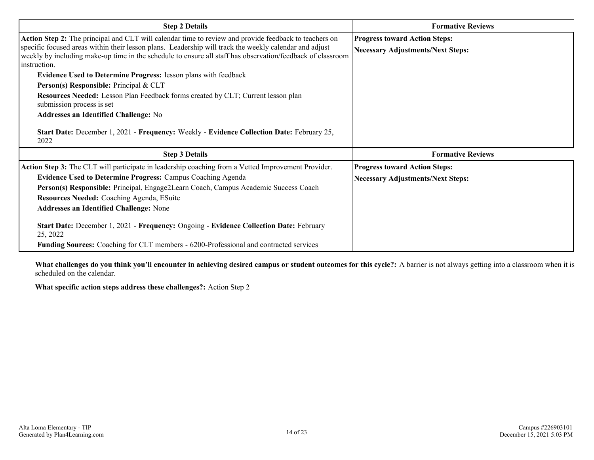| <b>Step 2 Details</b>                                                                                                                                                                                                                                                                                                                                                                                                                                                                                                                                                                                                                                                                                                                          | <b>Formative Reviews</b>                                                         |
|------------------------------------------------------------------------------------------------------------------------------------------------------------------------------------------------------------------------------------------------------------------------------------------------------------------------------------------------------------------------------------------------------------------------------------------------------------------------------------------------------------------------------------------------------------------------------------------------------------------------------------------------------------------------------------------------------------------------------------------------|----------------------------------------------------------------------------------|
| Action Step 2: The principal and CLT will calendar time to review and provide feedback to teachers on<br>specific focused areas within their lesson plans. Leadership will track the weekly calendar and adjust<br>weekly by including make-up time in the schedule to ensure all staff has observation/feedback of classroom<br>instruction.<br><b>Evidence Used to Determine Progress: lesson plans with feedback</b><br>Person(s) Responsible: Principal & CLT<br><b>Resources Needed:</b> Lesson Plan Feedback forms created by CLT; Current lesson plan<br>submission process is set<br><b>Addresses an Identified Challenge: No</b><br>Start Date: December 1, 2021 - Frequency: Weekly - Evidence Collection Date: February 25,<br>2022 | <b>Progress toward Action Steps:</b><br><b>Necessary Adjustments/Next Steps:</b> |
| <b>Step 3 Details</b>                                                                                                                                                                                                                                                                                                                                                                                                                                                                                                                                                                                                                                                                                                                          | <b>Formative Reviews</b>                                                         |
| Action Step 3: The CLT will participate in leadership coaching from a Vetted Improvement Provider.<br><b>Evidence Used to Determine Progress: Campus Coaching Agenda</b><br>Person(s) Responsible: Principal, Engage2Learn Coach, Campus Academic Success Coach<br>Resources Needed: Coaching Agenda, ESuite<br><b>Addresses an Identified Challenge: None</b><br>Start Date: December 1, 2021 - Frequency: Ongoing - Evidence Collection Date: February<br>25, 2022                                                                                                                                                                                                                                                                           | <b>Progress toward Action Steps:</b><br><b>Necessary Adjustments/Next Steps:</b> |
| <b>Funding Sources:</b> Coaching for CLT members - 6200-Professional and contracted services                                                                                                                                                                                                                                                                                                                                                                                                                                                                                                                                                                                                                                                   |                                                                                  |

**What challenges do you think you'll encounter in achieving desired campus or student outcomes for this cycle?:** A barrier is not always getting into a classroom when it is scheduled on the calendar.

**What specific action steps address these challenges?:** Action Step 2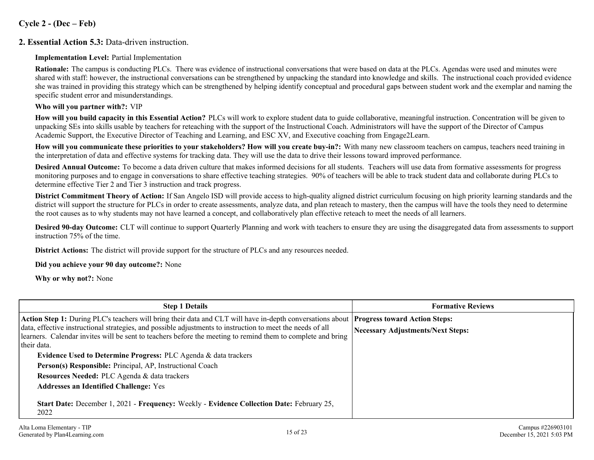#### **Cycle 2 - (Dec – Feb)**

#### **2. Essential Action 5.3:** Data-driven instruction.

**Implementation Level:** Partial Implementation

**Rationale:** The campus is conducting PLCs. There was evidence of instructional conversations that were based on data at the PLCs. Agendas were used and minutes were shared with staff: however, the instructional conversations can be strengthened by unpacking the standard into knowledge and skills. The instructional coach provided evidence she was trained in providing this strategy which can be strengthened by helping identify conceptual and procedural gaps between student work and the exemplar and naming the specific student error and misunderstandings.

#### **Who will you partner with?:** VIP

**How will you build capacity in this Essential Action?** PLCs will work to explore student data to guide collaborative, meaningful instruction. Concentration will be given to unpacking SEs into skills usable by teachers for reteaching with the support of the Instructional Coach. Administrators will have the support of the Director of Campus Academic Support, the Executive Director of Teaching and Learning, and ESC XV, and Executive coaching from Engage2Learn.

**How will you communicate these priorities to your stakeholders? How will you create buy-in?:** With many new classroom teachers on campus, teachers need training in the interpretation of data and effective systems for tracking data. They will use the data to drive their lessons toward improved performance.

**Desired Annual Outcome:** To become a data driven culture that makes informed decisions for all students. Teachers will use data from formative assessments for progress monitoring purposes and to engage in conversations to share effective teaching strategies. 90% of teachers will be able to track student data and collaborate during PLCs to determine effective Tier 2 and Tier 3 instruction and track progress.

**District Commitment Theory of Action:** If San Angelo ISD will provide access to high-quality aligned district curriculum focusing on high priority learning standards and the district will support the structure for PLCs in order to create assessments, analyze data, and plan reteach to mastery, then the campus will have the tools they need to determine the root causes as to why students may not have learned a concept, and collaboratively plan effective reteach to meet the needs of all learners.

**Desired 90-day Outcome:** CLT will continue to support Quarterly Planning and work with teachers to ensure they are using the disaggregated data from assessments to support instruction 75% of the time.

**District Actions:** The district will provide support for the structure of PLCs and any resources needed.

**Did you achieve your 90 day outcome?:** None

**Why or why not?:** None

| <b>Step 1 Details</b>                                                                                                                                                                                                                                                                                                                                                                      | <b>Formative Reviews</b>                 |  |  |  |  |
|--------------------------------------------------------------------------------------------------------------------------------------------------------------------------------------------------------------------------------------------------------------------------------------------------------------------------------------------------------------------------------------------|------------------------------------------|--|--|--|--|
| Action Step 1: During PLC's teachers will bring their data and CLT will have in-depth conversations about <b>Progress toward Action Steps:</b><br>data, effective instructional strategies, and possible adjustments to instruction to meet the needs of all<br>learners. Calendar invites will be sent to teachers before the meeting to remind them to complete and bring<br>their data. | <b>Necessary Adjustments/Next Steps:</b> |  |  |  |  |
| Evidence Used to Determine Progress: PLC Agenda & data trackers<br>Person(s) Responsible: Principal, AP, Instructional Coach<br>Resources Needed: PLC Agenda & data trackers<br><b>Addresses an Identified Challenge: Yes</b>                                                                                                                                                              |                                          |  |  |  |  |
| Start Date: December 1, 2021 - Frequency: Weekly - Evidence Collection Date: February 25,<br>2022                                                                                                                                                                                                                                                                                          |                                          |  |  |  |  |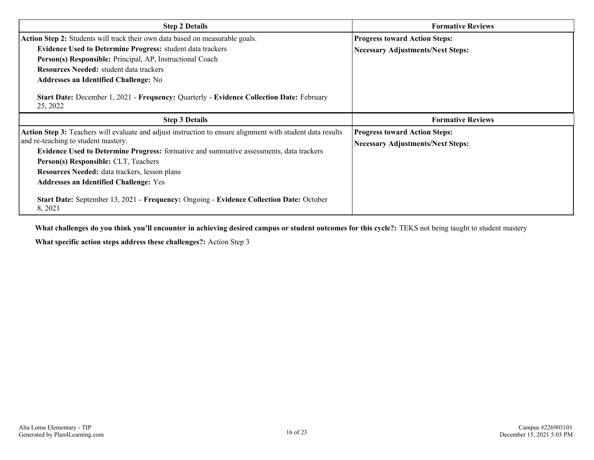| <b>Step 2 Details</b>                                                                                      | <b>Formative Reviews</b>                 |  |  |  |  |
|------------------------------------------------------------------------------------------------------------|------------------------------------------|--|--|--|--|
| Action Step 2: Students will track their own data based on measurable goals.                               | <b>Progress toward Action Steps:</b>     |  |  |  |  |
| <b>Evidence Used to Determine Progress:</b> student data trackers                                          | <b>Necessary Adjustments/Next Steps:</b> |  |  |  |  |
| Person(s) Responsible: Principal, AP, Instructional Coach                                                  |                                          |  |  |  |  |
| <b>Resources Needed:</b> student data trackers                                                             |                                          |  |  |  |  |
| <b>Addresses an Identified Challenge:</b> No                                                               |                                          |  |  |  |  |
| Start Date: December 1, 2021 - Frequency: Quarterly - Evidence Collection Date: February<br>25, 2022       |                                          |  |  |  |  |
|                                                                                                            | <b>Formative Reviews</b>                 |  |  |  |  |
| <b>Step 3 Details</b>                                                                                      |                                          |  |  |  |  |
| Action Step 3: Teachers will evaluate and adjust instruction to ensure alignment with student data results | <b>Progress toward Action Steps:</b>     |  |  |  |  |
| and re-teaching to student mastery.                                                                        |                                          |  |  |  |  |
| Evidence Used to Determine Progress: formative and summative assessments, data trackers                    | <b>Necessary Adjustments/Next Steps:</b> |  |  |  |  |
| Person(s) Responsible: CLT, Teachers                                                                       |                                          |  |  |  |  |
| Resources Needed: data trackers, lesson plans                                                              |                                          |  |  |  |  |
| <b>Addresses an Identified Challenge: Yes</b>                                                              |                                          |  |  |  |  |

**What challenges do you think you'll encounter in achieving desired campus or student outcomes for this cycle?:** TEKS not being taught to student mastery

**What specific action steps address these challenges?:** Action Step 3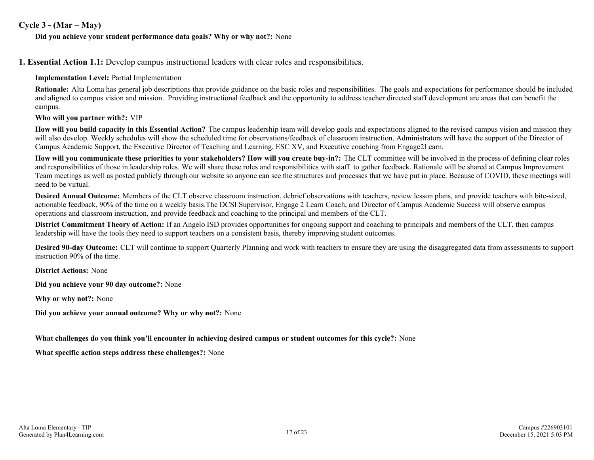#### **Cycle 3 - (Mar – May)**

#### **Did you achieve your student performance data goals? Why or why not?:** None

**1. Essential Action 1.1:** Develop campus instructional leaders with clear roles and responsibilities.

#### **Implementation Level:** Partial Implementation

**Rationale:** Alta Loma has general job descriptions that provide guidance on the basic roles and responsibilities. The goals and expectations for performance should be included and aligned to campus vision and mission. Providing instructional feedback and the opportunity to address teacher directed staff development are areas that can benefit the campus.

#### **Who will you partner with?:** VIP

**How will you build capacity in this Essential Action?** The campus leadership team will develop goals and expectations aligned to the revised campus vision and mission they will also develop. Weekly schedules will show the scheduled time for observations/feedback of classroom instruction. Administrators will have the support of the Director of Campus Academic Support, the Executive Director of Teaching and Learning, ESC XV, and Executive coaching from Engage2Learn.

**How will you communicate these priorities to your stakeholders? How will you create buy-in?:** The CLT committee will be involved in the process of defining clear roles and responsibilities of those in leadership roles. We will share these roles and responsibilities with staff to gather feedback. Rationale will be shared at Campus Improvement Team meetings as well as posted publicly through our website so anyone can see the structures and processes that we have put in place. Because of COVID, these meetings will need to be virtual.

**Desired Annual Outcome:** Members of the CLT observe classroom instruction, debrief observations with teachers, review lesson plans, and provide teachers with bite-sized, actionable feedback, 90% of the time on a weekly basis.The DCSI Supervisor, Engage 2 Learn Coach, and Director of Campus Academic Success will observe campus operations and classroom instruction, and provide feedback and coaching to the principal and members of the CLT.

**District Commitment Theory of Action:** If an Angelo ISD provides opportunities for ongoing support and coaching to principals and members of the CLT, then campus leadership will have the tools they need to support teachers on a consistent basis, thereby improving student outcomes.

**Desired 90-day Outcome:** CLT will continue to support Quarterly Planning and work with teachers to ensure they are using the disaggregated data from assessments to support instruction 90% of the time.

**District Actions:** None

**Did you achieve your 90 day outcome?:** None

**Why or why not?:** None

**Did you achieve your annual outcome? Why or why not?:** None

**What challenges do you think you'll encounter in achieving desired campus or student outcomes for this cycle?:** None

**What specific action steps address these challenges?:** None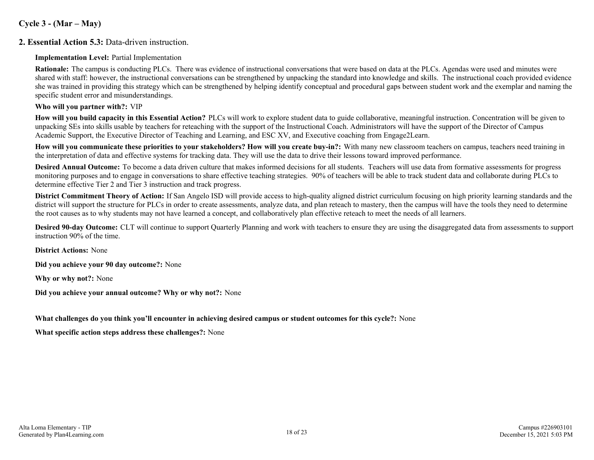#### **Cycle 3 - (Mar – May)**

#### **2. Essential Action 5.3:** Data-driven instruction.

**Implementation Level:** Partial Implementation

**Rationale:** The campus is conducting PLCs. There was evidence of instructional conversations that were based on data at the PLCs. Agendas were used and minutes were shared with staff: however, the instructional conversations can be strengthened by unpacking the standard into knowledge and skills. The instructional coach provided evidence she was trained in providing this strategy which can be strengthened by helping identify conceptual and procedural gaps between student work and the exemplar and naming the specific student error and misunderstandings.

#### **Who will you partner with?:** VIP

**How will you build capacity in this Essential Action?** PLCs will work to explore student data to guide collaborative, meaningful instruction. Concentration will be given to unpacking SEs into skills usable by teachers for reteaching with the support of the Instructional Coach. Administrators will have the support of the Director of Campus Academic Support, the Executive Director of Teaching and Learning, and ESC XV, and Executive coaching from Engage2Learn.

**How will you communicate these priorities to your stakeholders? How will you create buy-in?:** With many new classroom teachers on campus, teachers need training in the interpretation of data and effective systems for tracking data. They will use the data to drive their lessons toward improved performance.

**Desired Annual Outcome:** To become a data driven culture that makes informed decisions for all students. Teachers will use data from formative assessments for progress monitoring purposes and to engage in conversations to share effective teaching strategies. 90% of teachers will be able to track student data and collaborate during PLCs to determine effective Tier 2 and Tier 3 instruction and track progress.

**District Commitment Theory of Action:** If San Angelo ISD will provide access to high-quality aligned district curriculum focusing on high priority learning standards and the district will support the structure for PLCs in order to create assessments, analyze data, and plan reteach to mastery, then the campus will have the tools they need to determine the root causes as to why students may not have learned a concept, and collaboratively plan effective reteach to meet the needs of all learners.

**Desired 90-day Outcome:** CLT will continue to support Quarterly Planning and work with teachers to ensure they are using the disaggregated data from assessments to support instruction 90% of the time.

**District Actions:** None

**Did you achieve your 90 day outcome?:** None

**Why or why not?:** None

**Did you achieve your annual outcome? Why or why not?:** None

#### **What challenges do you think you'll encounter in achieving desired campus or student outcomes for this cycle?:** None

**What specific action steps address these challenges?:** None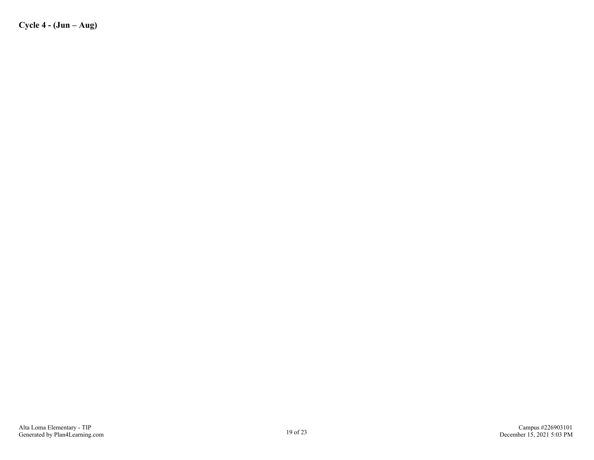**Cycle 4 - (Jun – Aug)**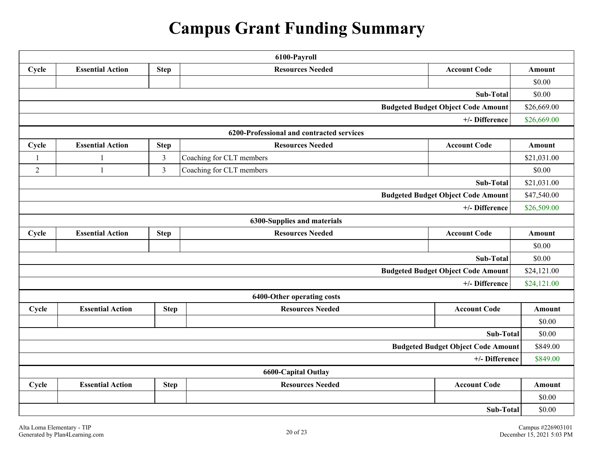# **Campus Grant Funding Summary**

| 6100-Payroll                                             |                                                                                          |                |                             |                                           |             |  |  |  |  |  |
|----------------------------------------------------------|------------------------------------------------------------------------------------------|----------------|-----------------------------|-------------------------------------------|-------------|--|--|--|--|--|
| Cycle                                                    | <b>Account Code</b><br><b>Essential Action</b><br><b>Step</b><br><b>Resources Needed</b> |                |                             |                                           |             |  |  |  |  |  |
|                                                          |                                                                                          |                |                             |                                           |             |  |  |  |  |  |
| Sub-Total                                                |                                                                                          |                |                             |                                           |             |  |  |  |  |  |
| <b>Budgeted Budget Object Code Amount</b><br>\$26,669.00 |                                                                                          |                |                             |                                           |             |  |  |  |  |  |
| \$26,669.00<br>+/- Difference                            |                                                                                          |                |                             |                                           |             |  |  |  |  |  |
| 6200-Professional and contracted services                |                                                                                          |                |                             |                                           |             |  |  |  |  |  |
| Cycle                                                    | <b>Essential Action</b>                                                                  | <b>Step</b>    | <b>Resources Needed</b>     | <b>Account Code</b>                       | Amount      |  |  |  |  |  |
| $\mathbf{1}$                                             | 1                                                                                        | $\mathfrak{Z}$ | Coaching for CLT members    |                                           | \$21,031.00 |  |  |  |  |  |
| $\overline{2}$                                           | 1                                                                                        | $\overline{3}$ | Coaching for CLT members    |                                           | \$0.00      |  |  |  |  |  |
|                                                          |                                                                                          |                |                             | Sub-Total                                 | \$21,031.00 |  |  |  |  |  |
|                                                          |                                                                                          |                |                             | <b>Budgeted Budget Object Code Amount</b> | \$47,540.00 |  |  |  |  |  |
|                                                          |                                                                                          |                |                             | +/- Difference                            | \$26,509.00 |  |  |  |  |  |
|                                                          |                                                                                          |                | 6300-Supplies and materials |                                           |             |  |  |  |  |  |
| Cycle                                                    | <b>Resources Needed</b><br><b>Account Code</b><br><b>Essential Action</b><br><b>Step</b> |                |                             |                                           |             |  |  |  |  |  |
|                                                          |                                                                                          |                |                             |                                           | \$0.00      |  |  |  |  |  |
|                                                          |                                                                                          |                |                             | <b>Sub-Total</b>                          | \$0.00      |  |  |  |  |  |
|                                                          |                                                                                          |                |                             | <b>Budgeted Budget Object Code Amount</b> | \$24,121.00 |  |  |  |  |  |
|                                                          |                                                                                          |                |                             | +/- Difference                            | \$24,121.00 |  |  |  |  |  |
|                                                          |                                                                                          |                | 6400-Other operating costs  |                                           |             |  |  |  |  |  |
| Cycle                                                    | <b>Essential Action</b>                                                                  | <b>Step</b>    | <b>Resources Needed</b>     | <b>Account Code</b>                       | Amount      |  |  |  |  |  |
|                                                          |                                                                                          |                |                             |                                           | \$0.00      |  |  |  |  |  |
|                                                          |                                                                                          |                |                             | Sub-Total                                 | \$0.00      |  |  |  |  |  |
|                                                          |                                                                                          |                |                             | <b>Budgeted Budget Object Code Amount</b> | \$849.00    |  |  |  |  |  |
|                                                          |                                                                                          |                |                             | +/- Difference                            | \$849.00    |  |  |  |  |  |
|                                                          |                                                                                          |                | <b>6600-Capital Outlay</b>  |                                           |             |  |  |  |  |  |
| Cycle                                                    | <b>Essential Action</b>                                                                  | <b>Step</b>    | <b>Resources Needed</b>     | <b>Account Code</b>                       | Amount      |  |  |  |  |  |
|                                                          |                                                                                          |                |                             |                                           | \$0.00      |  |  |  |  |  |
| Sub-Total                                                |                                                                                          |                |                             |                                           |             |  |  |  |  |  |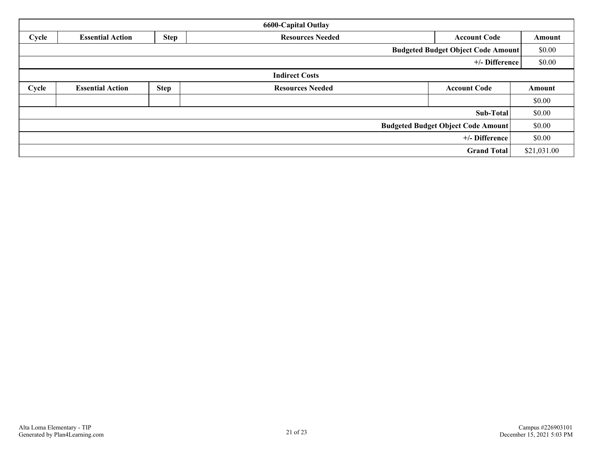| <b>6600-Capital Outlay</b>                |                                                                                          |  |                       |                    |             |  |  |  |
|-------------------------------------------|------------------------------------------------------------------------------------------|--|-----------------------|--------------------|-------------|--|--|--|
| Cycle                                     | <b>Step</b><br><b>Resources Needed</b><br><b>Essential Action</b><br><b>Account Code</b> |  |                       |                    |             |  |  |  |
| <b>Budgeted Budget Object Code Amount</b> |                                                                                          |  |                       |                    |             |  |  |  |
|                                           |                                                                                          |  |                       | +/- Difference     | \$0.00      |  |  |  |
|                                           |                                                                                          |  | <b>Indirect Costs</b> |                    |             |  |  |  |
| Cycle                                     | <b>Step</b><br><b>Essential Action</b><br><b>Resources Needed</b><br><b>Account Code</b> |  |                       |                    |             |  |  |  |
|                                           |                                                                                          |  |                       |                    | \$0.00      |  |  |  |
| Sub-Total                                 |                                                                                          |  |                       |                    |             |  |  |  |
| <b>Budgeted Budget Object Code Amount</b> |                                                                                          |  |                       |                    |             |  |  |  |
| +/- Difference                            |                                                                                          |  |                       |                    |             |  |  |  |
|                                           |                                                                                          |  |                       | <b>Grand Total</b> | \$21,031.00 |  |  |  |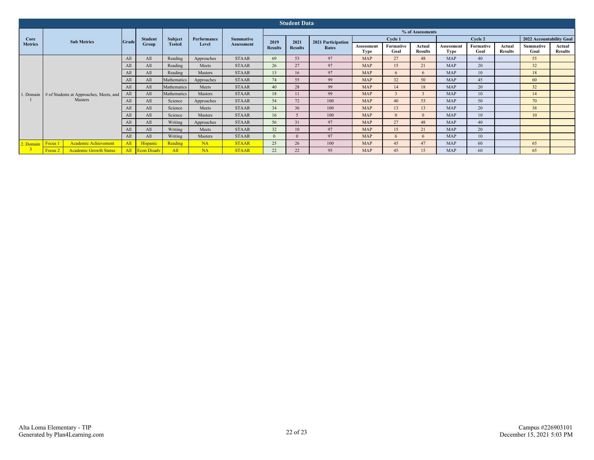| <b>Student Data</b> |                                          |                |                         |                |             |                                       |                        |                        |                             |                    |                   |                          |                           |                   |                          |                          |                          |
|---------------------|------------------------------------------|----------------|-------------------------|----------------|-------------|---------------------------------------|------------------------|------------------------|-----------------------------|--------------------|-------------------|--------------------------|---------------------------|-------------------|--------------------------|--------------------------|--------------------------|
|                     |                                          | Grade          | <b>Student</b><br>Group | <b>Subject</b> | Performance | <b>Summative</b><br><b>Assessment</b> | % of Assessments       |                        |                             |                    |                   |                          |                           |                   |                          |                          |                          |
| Core                | <b>Sub Metrics</b>                       |                |                         |                |             |                                       | 2019<br><b>Results</b> | 2021<br><b>Results</b> | 2021 Participation<br>Rates | Cycle 1            |                   |                          | Cycle 2                   |                   |                          | 2022 Accountability Goal |                          |
| <b>Metrics</b>      |                                          |                |                         | <b>Tested</b>  | Level       |                                       |                        |                        |                             | Assessment<br>Type | Formative<br>Goal | Actual<br><b>Results</b> | Assessment<br><b>Type</b> | Formative<br>Goal | Actual<br><b>Results</b> | <b>Summative</b><br>Goal | Actual<br><b>Results</b> |
|                     |                                          | A1             | All                     | Reading        | Approaches  | <b>STAAR</b>                          | 69                     | 53                     | 97                          | <b>MAP</b>         | 27                | 48                       | <b>MAP</b>                | 40                |                          | 55                       |                          |
|                     |                                          | A <sub>1</sub> | All                     | Reading        | Meets       | <b>STAAR</b>                          | 26                     | 27                     | 97                          | <b>MAP</b>         | 15                | 21                       | <b>MAP</b>                | 20                |                          | 32                       |                          |
|                     |                                          | A <sub>1</sub> | All                     | Reading        | Masters     | <b>STAAR</b>                          | 13                     | 16                     | 97                          | <b>MAP</b>         | $\sqrt{2}$        | 6                        | <b>MAP</b>                | 10                |                          | 18                       |                          |
|                     |                                          | Al             | All                     | Mathematics    | Approaches  | <b>STAAR</b>                          | 74                     | 55                     | 99                          | <b>MAP</b>         | 32                | 50                       | <b>MAP</b>                | 45                |                          | 60                       |                          |
|                     |                                          | Al             | All                     | Mathematics    | Meets       | <b>STAAR</b>                          | 40                     | 28                     | 99                          | <b>MAP</b>         | 14                | 18                       | <b>MAP</b>                | 20                |                          | 32                       |                          |
| 1. Domain           | # of Students at Approaches, Meets, and  |                | All                     | Mathematics    | Masters     | <b>STAAR</b>                          | 18                     | 11                     | 99                          | <b>MAP</b>         |                   |                          | <b>MAP</b>                | 10                |                          | 14                       |                          |
|                     | Masters                                  | A <sub>1</sub> | All                     | Science        | Approaches  | <b>STAAR</b>                          | 54                     | 72                     | 100                         | <b>MAP</b>         | 40                | 53                       | MAP                       | 50                |                          | 70                       |                          |
|                     |                                          | Al             | All                     | Science        | Meets       | <b>STAAR</b>                          | 34                     | 36                     | 100                         | <b>MAP</b>         | 13                | 13                       | MAP                       | 20                |                          | 38                       |                          |
|                     |                                          | A <sub>1</sub> | All                     | Science        | Masters     | <b>STAAR</b>                          | 16                     |                        | 100                         | <b>MAP</b>         |                   | $\Omega$                 | MAP                       | 10                |                          | 10                       |                          |
|                     |                                          | A1             | All                     | Writing        | Approaches  | <b>STAAR</b>                          | 56                     | 31                     | 97                          | <b>MAP</b>         | 27                | 48                       | MAP                       | 40                |                          |                          |                          |
|                     |                                          |                | All                     | Writing        | Meets       | <b>STAAR</b>                          | 32                     | 10                     | 97                          | <b>MAP</b>         | 15                | 21                       | <b>MAP</b>                | 20                |                          |                          |                          |
|                     |                                          | All            | All                     | Writing        | Masters     | <b>STAAR</b>                          | $\mathbf{0}$           | $\Omega$               | 97                          | MAP                | 6                 | 6                        | MAP                       | 10                |                          |                          |                          |
| 2. Domain Focus 1   | Academic Achievement                     | All            | Hispanic                | Reading        | <b>NA</b>   | <b>STAAR</b>                          | 25                     | 26                     | 100                         | MAP                | 45                | 47                       | MAP                       | 60                |                          | 65                       |                          |
|                     | <b>Academic Growth Status</b><br>Focus 2 |                | All Econ Disadv         | All            | <b>NA</b>   | <b>STAAR</b>                          | 22                     | 22                     | 95                          | <b>MAP</b>         | 45                | 15                       | <b>MAP</b>                | 60                |                          | 65                       |                          |